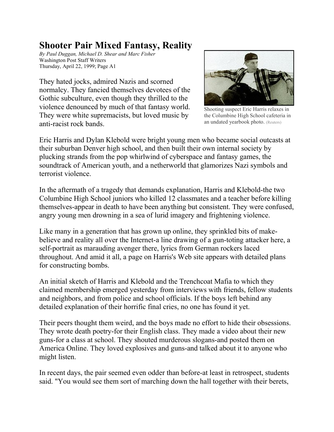## **Shooter Pair Mixed Fantasy, Reality**

*By Paul Duggan, Michael D. Shear and Marc Fisher* Washington Post Staff Writers Thursday, April 22, 1999; Page A1

They hated jocks, admired Nazis and scorned normalcy. They fancied themselves devotees of the Gothic subculture, even though they thrilled to the violence denounced by much of that fantasy world. They were white supremacists, but loved music by anti-racist rock bands.



Shooting suspect Eric Harris relaxes in the Columbine High School cafeteria in an undated yearbook photo. (Reuters)

Eric Harris and Dylan Klebold were bright young men who became social outcasts at their suburban Denver high school, and then built their own internal society by plucking strands from the pop whirlwind of cyberspace and fantasy games, the soundtrack of American youth, and a netherworld that glamorizes Nazi symbols and terrorist violence.

In the aftermath of a tragedy that demands explanation, Harris and Klebold-the two Columbine High School juniors who killed 12 classmates and a teacher before killing themselves-appear in death to have been anything but consistent. They were confused, angry young men drowning in a sea of lurid imagery and frightening violence.

Like many in a generation that has grown up online, they sprinkled bits of makebelieve and reality all over the Internet-a line drawing of a gun-toting attacker here, a self-portrait as marauding avenger there, lyrics from German rockers laced throughout. And amid it all, a page on Harris's Web site appears with detailed plans for constructing bombs.

An initial sketch of Harris and Klebold and the Trenchcoat Mafia to which they claimed membership emerged yesterday from interviews with friends, fellow students and neighbors, and from police and school officials. If the boys left behind any detailed explanation of their horrific final cries, no one has found it yet.

Their peers thought them weird, and the boys made no effort to hide their obsessions. They wrote death poetry-for their English class. They made a video about their new guns-for a class at school. They shouted murderous slogans-and posted them on America Online. They loved explosives and guns-and talked about it to anyone who might listen.

In recent days, the pair seemed even odder than before-at least in retrospect, students said. "You would see them sort of marching down the hall together with their berets,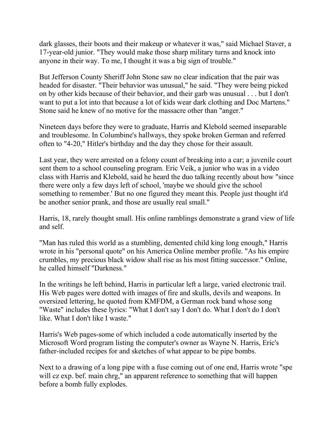dark glasses, their boots and their makeup or whatever it was," said Michael Staver, a 17-year-old junior. "They would make those sharp military turns and knock into anyone in their way. To me, I thought it was a big sign of trouble."

But Jefferson County Sheriff John Stone saw no clear indication that the pair was headed for disaster. "Their behavior was unusual," he said. "They were being picked on by other kids because of their behavior, and their garb was unusual . . . but I don't want to put a lot into that because a lot of kids wear dark clothing and Doc Martens." Stone said he knew of no motive for the massacre other than "anger."

Nineteen days before they were to graduate, Harris and Klebold seemed inseparable and troublesome. In Columbine's hallways, they spoke broken German and referred often to "4-20," Hitler's birthday and the day they chose for their assault.

Last year, they were arrested on a felony count of breaking into a car; a juvenile court sent them to a school counseling program. Eric Veik, a junior who was in a video class with Harris and Klebold, said he heard the duo talking recently about how "since there were only a few days left of school, 'maybe we should give the school something to remember.' But no one figured they meant this. People just thought it'd be another senior prank, and those are usually real small."

Harris, 18, rarely thought small. His online ramblings demonstrate a grand view of life and self.

"Man has ruled this world as a stumbling, demented child king long enough," Harris wrote in his "personal quote" on his America Online member profile. "As his empire crumbles, my precious black widow shall rise as his most fitting successor." Online, he called himself "Darkness."

In the writings he left behind, Harris in particular left a large, varied electronic trail. His Web pages were dotted with images of fire and skulls, devils and weapons. In oversized lettering, he quoted from KMFDM, a German rock band whose song "Waste" includes these lyrics: "What I don't say I don't do. What I don't do I don't like. What I don't like I waste."

Harris's Web pages-some of which included a code automatically inserted by the Microsoft Word program listing the computer's owner as Wayne N. Harris, Eric's father-included recipes for and sketches of what appear to be pipe bombs.

Next to a drawing of a long pipe with a fuse coming out of one end, Harris wrote "spe will cz exp. bef. main chrg," an apparent reference to something that will happen before a bomb fully explodes.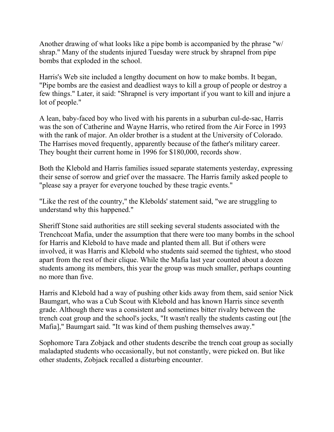Another drawing of what looks like a pipe bomb is accompanied by the phrase "w/ shrap." Many of the students injured Tuesday were struck by shrapnel from pipe bombs that exploded in the school.

Harris's Web site included a lengthy document on how to make bombs. It began, "Pipe bombs are the easiest and deadliest ways to kill a group of people or destroy a few things." Later, it said: "Shrapnel is very important if you want to kill and injure a lot of people."

A lean, baby-faced boy who lived with his parents in a suburban cul-de-sac, Harris was the son of Catherine and Wayne Harris, who retired from the Air Force in 1993 with the rank of major. An older brother is a student at the University of Colorado. The Harrises moved frequently, apparently because of the father's military career. They bought their current home in 1996 for \$180,000, records show.

Both the Klebold and Harris families issued separate statements yesterday, expressing their sense of sorrow and grief over the massacre. The Harris family asked people to "please say a prayer for everyone touched by these tragic events."

"Like the rest of the country," the Klebolds' statement said, "we are struggling to understand why this happened."

Sheriff Stone said authorities are still seeking several students associated with the Trenchcoat Mafia, under the assumption that there were too many bombs in the school for Harris and Klebold to have made and planted them all. But if others were involved, it was Harris and Klebold who students said seemed the tightest, who stood apart from the rest of their clique. While the Mafia last year counted about a dozen students among its members, this year the group was much smaller, perhaps counting no more than five.

Harris and Klebold had a way of pushing other kids away from them, said senior Nick Baumgart, who was a Cub Scout with Klebold and has known Harris since seventh grade. Although there was a consistent and sometimes bitter rivalry between the trench coat group and the school's jocks, "It wasn't really the students casting out [the Mafia]," Baumgart said. "It was kind of them pushing themselves away."

Sophomore Tara Zobjack and other students describe the trench coat group as socially maladapted students who occasionally, but not constantly, were picked on. But like other students, Zobjack recalled a disturbing encounter.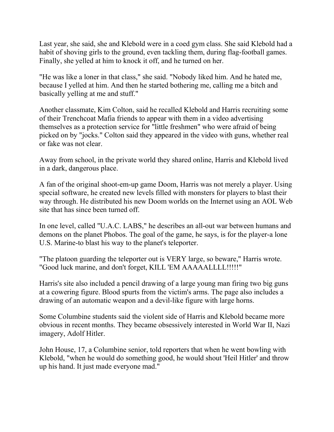Last year, she said, she and Klebold were in a coed gym class. She said Klebold had a habit of shoving girls to the ground, even tackling them, during flag-football games. Finally, she yelled at him to knock it off, and he turned on her.

"He was like a loner in that class," she said. "Nobody liked him. And he hated me, because I yelled at him. And then he started bothering me, calling me a bitch and basically yelling at me and stuff."

Another classmate, Kim Colton, said he recalled Klebold and Harris recruiting some of their Trenchcoat Mafia friends to appear with them in a video advertising themselves as a protection service for "little freshmen" who were afraid of being picked on by "jocks." Colton said they appeared in the video with guns, whether real or fake was not clear.

Away from school, in the private world they shared online, Harris and Klebold lived in a dark, dangerous place.

A fan of the original shoot-em-up game Doom, Harris was not merely a player. Using special software, he created new levels filled with monsters for players to blast their way through. He distributed his new Doom worlds on the Internet using an AOL Web site that has since been turned off.

In one level, called "U.A.C. LABS," he describes an all-out war between humans and demons on the planet Phobos. The goal of the game, he says, is for the player-a lone U.S. Marine-to blast his way to the planet's teleporter.

"The platoon guarding the teleporter out is VERY large, so beware," Harris wrote. "Good luck marine, and don't forget, KILL 'EM AAAAALLLL!!!!!"

Harris's site also included a pencil drawing of a large young man firing two big guns at a cowering figure. Blood spurts from the victim's arms. The page also includes a drawing of an automatic weapon and a devil-like figure with large horns.

Some Columbine students said the violent side of Harris and Klebold became more obvious in recent months. They became obsessively interested in World War II, Nazi imagery, Adolf Hitler.

John House, 17, a Columbine senior, told reporters that when he went bowling with Klebold, "when he would do something good, he would shout 'Heil Hitler' and throw up his hand. It just made everyone mad."